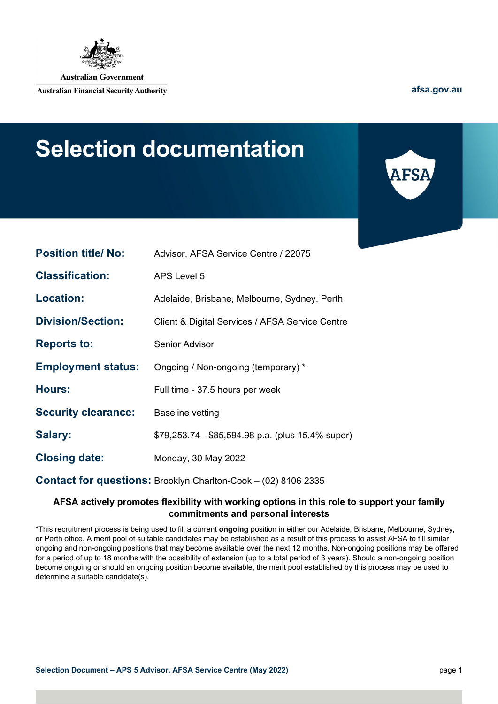

**Australian Government** 

**Australian Financial Security Authority** 

**[afsa.gov.au](http://www.afsa.gov.au/)**

# **Selection documentation**



| <b>Position title/ No:</b> | Advisor, AFSA Service Centre / 22075                                  |
|----------------------------|-----------------------------------------------------------------------|
| <b>Classification:</b>     | <b>APS Level 5</b>                                                    |
| <b>Location:</b>           | Adelaide, Brisbane, Melbourne, Sydney, Perth                          |
| <b>Division/Section:</b>   | Client & Digital Services / AFSA Service Centre                       |
| <b>Reports to:</b>         | <b>Senior Advisor</b>                                                 |
| <b>Employment status:</b>  | Ongoing / Non-ongoing (temporary) *                                   |
| <b>Hours:</b>              | Full time - 37.5 hours per week                                       |
| <b>Security clearance:</b> | <b>Baseline vetting</b>                                               |
| Salary:                    | \$79,253.74 - \$85,594.98 p.a. (plus 15.4% super)                     |
| <b>Closing date:</b>       | Monday, 30 May 2022                                                   |
|                            | <b>Contact for questions: Brooklyn Charlton-Cook - (02) 8106 2335</b> |

#### **AFSA actively promotes flexibility with working options in this role to support your family commitments and personal interests**

\*This recruitment process is being used to fill a current **ongoing** position in either our Adelaide, Brisbane, Melbourne, Sydney, or Perth office. A merit pool of suitable candidates may be established as a result of this process to assist AFSA to fill similar ongoing and non-ongoing positions that may become available over the next 12 months. Non-ongoing positions may be offered for a period of up to 18 months with the possibility of extension (up to a total period of 3 years). Should a non-ongoing position become ongoing or should an ongoing position become available, the merit pool established by this process may be used to determine a suitable candidate(s).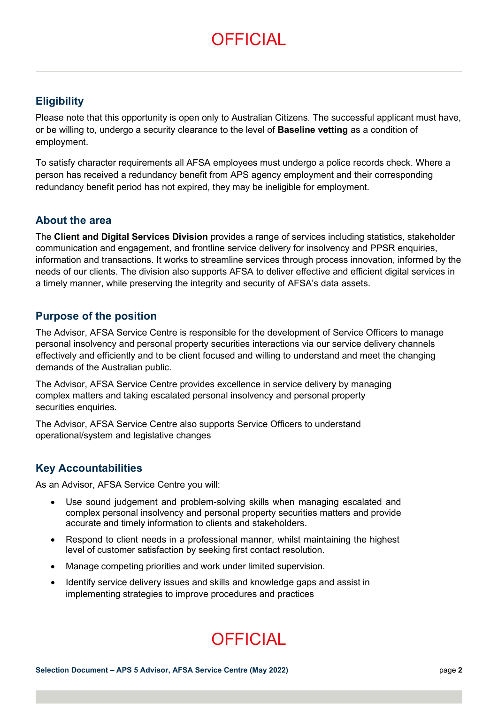# **OFFICIAL**

### **Eligibility**

Please note that this opportunity is open only to Australian Citizens. The successful applicant must have, or be willing to, undergo a security clearance to the level of **Baseline vetting** as a condition of employment.

To satisfy character requirements all AFSA employees must undergo a police records check. Where a person has received a redundancy benefit from APS agency employment and their corresponding redundancy benefit period has not expired, they may be ineligible for employment.

### **About the area**

The **Client and Digital Services Division** provides a range of services including statistics, stakeholder communication and engagement, and frontline service delivery for insolvency and PPSR enquiries, information and transactions. It works to streamline services through process innovation, informed by the needs of our clients. The division also supports AFSA to deliver effective and efficient digital services in a timely manner, while preserving the integrity and security of AFSA's data assets.

### **Purpose of the position**

The Advisor, AFSA Service Centre is responsible for the development of Service Officers to manage personal insolvency and personal property securities interactions via our service delivery channels effectively and efficiently and to be client focused and willing to understand and meet the changing demands of the Australian public.

The Advisor, AFSA Service Centre provides excellence in service delivery by managing complex matters and taking escalated personal insolvency and personal property securities enquiries.

The Advisor, AFSA Service Centre also supports Service Officers to understand operational/system and legislative changes

### **Key Accountabilities**

As an Advisor, AFSA Service Centre you will:

- Use sound judgement and problem-solving skills when managing escalated and complex personal insolvency and personal property securities matters and provide accurate and timely information to clients and stakeholders.
- Respond to client needs in a professional manner, whilst maintaining the highest level of customer satisfaction by seeking first contact resolution.
- Manage competing priorities and work under limited supervision.
- Identify service delivery issues and skills and knowledge gaps and assist in implementing strategies to improve procedures and practices

# **OFFICIAL**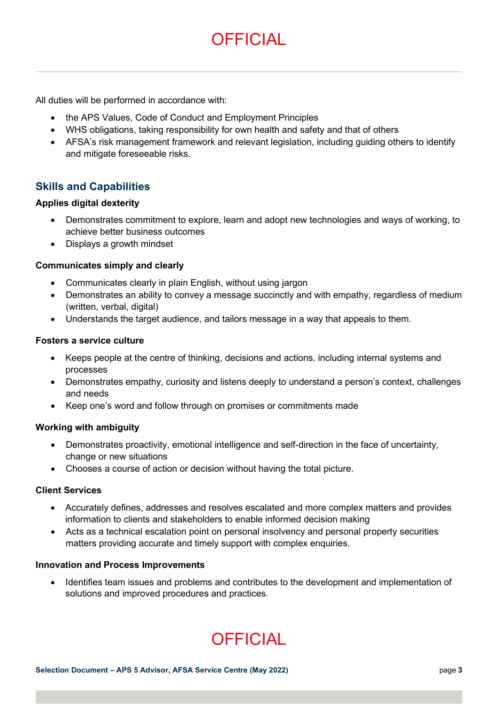### **OFFICIAL**

All duties will be performed in accordance with:

- the APS Values, Code of Conduct and Employment Principles
- WHS obligations, taking responsibility for own health and safety and that of others
- AFSA's risk management framework and relevant legislation, including guiding others to identify and mitigate foreseeable risks.

### **Skills and Capabilities**

#### **Applies digital dexterity**

- Demonstrates commitment to explore, learn and adopt new technologies and ways of working, to achieve better business outcomes
- Displays a growth mindset

#### **Communicates simply and clearly**

- Communicates clearly in plain English, without using jargon
- Demonstrates an ability to convey a message succinctly and with empathy, regardless of medium (written, verbal, digital)
- Understands the target audience, and tailors message in a way that appeals to them.

#### **Fosters a service culture**

- Keeps people at the centre of thinking, decisions and actions, including internal systems and processes
- Demonstrates empathy, curiosity and listens deeply to understand a person's context, challenges and needs
- Keep one's word and follow through on promises or commitments made

#### **Working with ambiguity**

- Demonstrates proactivity, emotional intelligence and self-direction in the face of uncertainty, change or new situations
- Chooses a course of action or decision without having the total picture.

#### **Client Services**

- Accurately defines, addresses and resolves escalated and more complex matters and provides information to clients and stakeholders to enable informed decision making
- Acts as a technical escalation point on personal insolvency and personal property securities matters providing accurate and timely support with complex enquiries.

#### **Innovation and Process Improvements**

• Identifies team issues and problems and contributes to the development and implementation of solutions and improved procedures and practices.

# **OFFICIAL**